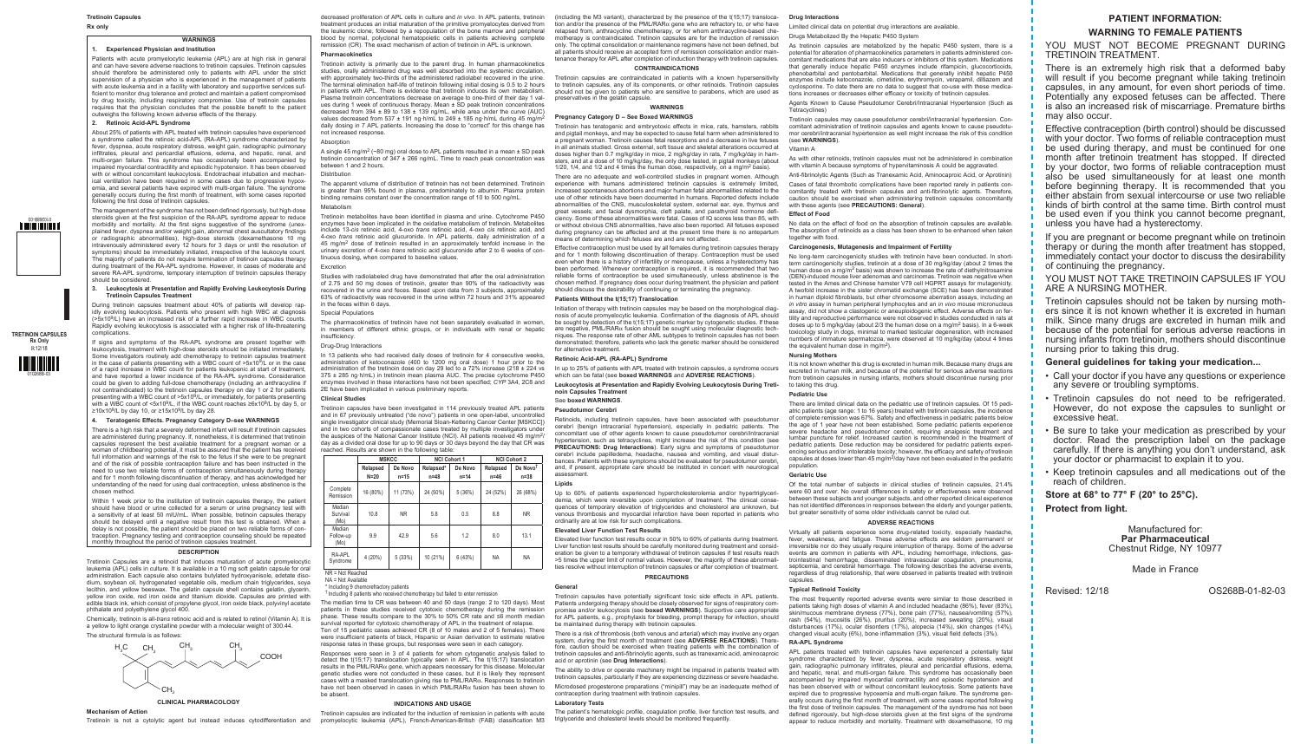### **Rx only**

**WARNINGS**

# **1. Experienced Physician and Institution**

Patients with acute promyelocytic leukemia (APL) are at high risk in general and can have severe adverse reactions to tretinoin capsules. Tretinoin capsules should therefore be administered only to patients with APL under the strict supervision of a physician who is experienced in the management of patients with acute leukemia and in a facility with laboratory and supportive services sufficient to monitor drug tolerance and protect and maintain a patient compromised by drug toxicity, including respiratory compromise. Use of tretinoin capsules requires that the physician concludes that the possible benefit to the patient outweighs the following known adverse effects of the therapy.

### **2. Retinoic Acid-APL Syndrome**

About 25% of patients with APL treated with tretinoin capsules have experienced a syndrome called the retinoic acid-APL (RA-APL) syndrome characterized by fever, dyspnea, acute respiratory distress, weight gain, radiographic pulmonary infiltrates, pleural and pericardial effusions, edema, and hepatic, renal, and multi-organ failure. This syndrome has occasionally been accompanied by impaired myocardial contractility and episodic hypotension. It has been observed with or without concomitant leukocytosis. Endotracheal intubation and mechanical ventilation have been required in some cases due to progressive hypoxemia, and several patients have expired with multi-organ failure. The syndrome generally occurs during the first month of treatment, with some cases reported following the first dose of tretinoin capsules.

If signs and symptoms of the RA-APL syndrome are present together with leukocytosis, treatment with high-dose steroids should be initiated immediately. Some investigators routinely add chemotherapy to tretinoin capsules treatment in the case of patients presenting with a WBC count of  $>5x10<sup>9</sup>/L$  or in the case of a rapid increase in WBC count for patients leukopenic at start of treatment, and have reported a lower incidence of the RA-APL syndrome. Consideration could be given to adding full-dose chemotherapy (including an anthracycline if not contraindicated) to the tretinoin capsules therapy on day 1 or 2 for patients presenting with a WBC count of  $>5x10<sup>9</sup>/L$ , or immediately, for patients presenting with a WBC count of <5x10<sup>9</sup>/L, if the WBC count reaches ≥6x10<sup>9</sup>/L by day 5, or ≥10x109/L by day 10, or ≥15x109/L by day 28.

The management of the syndrome has not been defined rigorously, but high-dose steroids given at the first suspicion of the RA-APL syndrome appear to reduce morbidity and mortality. At the first signs suggestive of the syndrome (unexplained fever, dyspnea and/or weight gain, abnormal chest auscultatory findings or radiographic abnormalities), high-dose steroids (dexamethasone 10 mg intravenously administered every 12 hours for 3 days or until the resolution o symptoms) should be immediately initiated, irrespective of the leukocyte count The majority of patients do not require termination of tretinoin capsules therapy during treatment of the RA-APL syndrome. However, in cases of moderate and severe RA-APL syndrome, temporary interruption of tretinoin capsules therapy should be considered.

There is a high risk that a severely deformed infant will result if tretinoin capsule are administered during pregnancy. If, nonetheless, it is determined that tretinoin capsules represent the best available treatment for a pregnant woman or a woman of childbearing potential, it must be assured that the patient has received full information and warnings of the risk to the fetus if she were to be pregnant and of the risk of possible contraception failure and has been instructed in the need to use two reliable forms of contraception simultaneously during therapy and for 1 month following discontinuation of therapy, and has acknowledged he understanding of the need for using dual contraception, unless abstinence is the chosen method.

### **3. Leukocytosis at Presentation and Rapidly Evolving Leukocytosis During Tretinoin Capsules Treatment**

Within 1 week prior to the institution of tretinoin capsules therapy, the patient should have blood or urine collected for a serum or urine pregnancy test with a sensitivity of at least 50 mIU/mL. When possible, tretinoin capsules therapy should be delayed until a negative result from this test is obtained. When a delay is not possible, the patient should be placed on two reliable forms of contraception. Pregnancy testing and contraception counseling should be repeated monthly throughout the period of tretinoin capsules treatment.

During tretinoin capsules treatment about 40% of patients will develop rapidly evolving leukocytosis. Patients who present with high WBC at diagnosis (>5x109/L) have an increased risk of a further rapid increase in WBC counts. Rapidly evolving leukocytosis is associated with a higher risk of life-threatening complications.

### **4. Teratogenic Effects. Pregnancy Category D–see WARNINGS**

A single 45 mg/m<sup>2</sup> (~80 mg) oral dose to APL patients resulted in a mean  $\pm$  SD peak tretinoin concentration of 347 ± 266 ng/mL. Time to reach peak concentration was between 1 and 2 hours.

### **Distribution**

Tretinoin capsules have been investigated in 114 previously treated APL patients and in 67 previously untreated ("de novo") patients in one open-label, uncontrolled single investigator clinical study (Memorial Sloan-Kettering Cancer Center [MSKCC]) and in two cohorts of compassionate cases treated by multiple investigators under the auspices of the National Cancer Institute (NCI). All patients received 45 mg/m<sup>2</sup>/ day as a divided oral dose for up to 90 days or 30 days beyond the day that CR was reached. Results are shown in the following table

### **DESCRIPTION**

Tretinoin Capsules are a retinoid that induces maturation of acute promyelocytic leukemia (APL) cells in culture. It is available in a 10 mg soft gelatin capsule for oral administration. Each capsule also contains butylated hydroxyanisole, edetate disodium, soybean oil, hydrogenated vegetable oils, medium chain triglycerides, soya lecithin, and yellow beeswax. The gelatin capsule shell contains gelatin, glycerin, yellow iron oxide, red iron oxide and titanium dioxide. Capsules are printed with edible black ink, which consist of propylene glycol, iron oxide black, polyvinyl acetate phthalate and polyethylene glycol 400.

Chemically, tretinoin is all-*trans* retinoic acid and is related to retinol (Vitamin A). It is a yellow to light orange crystalline powder with a molecular weight of 300.44. The structural formula is as follows:

Tretinoin is not a cytolytic agent but instead induces cytodifferentiation and promyelocytic leukemia (APL), French-American-British (FAB) classification M3 triglyceride and cholesterol levels should be monitored frequentl Tretinoin capsules are indicated for the induction of remission in patients with acute



**CLINICAL PHARMACOLOGY**

# **Mechanism of Action**

decreased proliferation of APL cells in culture and *in vivo*. In APL patients, tretinoin treatment produces an initial maturation of the primitive promyelocytes derived from the leukemic clone, followed by a repopulation of the bone marrow and peripheral blood by normal, polyclonal hematopoietic cells in patients achieving complete remission (CR). The exact mechanism of action of tretinoin in APL is unknown.

> Tretinoin has teratogenic and embryotoxic effects in mice, rats, hamsters, rabbits and pigtail monkeys, and may be expected to cause fetal harm when administered to a pregnant woman. Tretinoin causes fetal resorptions and a decrease in live fetuses in all animals studied. Gross external, soft tissue and skeletal alterations occurred at doses higher than 0.7 mg/kg/day in mice, 2 mg/kg/day in rats, 7 mg/kg/day in hamsters, and at a dose of 10 mg/kg/day, the only dose tested, in pigtail monkeys (about 1/20, 1/4, and 1/2 and 4 times the human dose, respectively, on a mg/m<sup>2</sup> basis).

### **Pharmacokinetics**

There are no adequate and well-controlled studies in pregnant women. Although experience with humans administered tretinoin capsules is extremely limited, increased spontaneous abortions and major human fetal abnormalities related to the use of other retinoids have been documented in humans. Reported defects include abnormalities of the CNS, musculoskeletal system, external ear, eye, thymus and great vessels; and facial dysmorphia, cleft palate, and parathyroid hormone deficiency. Some of these abnormalities were fatal. Cases of IQ scores less than 85, with or without obvious CNS abnormalities, have also been reported. All fetuses exposed during pregnancy can be affected and at the present time there is no antepartum means of determining which fetuses are and are not affected. Cases of fatal thrombotic complications have been reported rarely in patients concomitantly treated with tretinoin capsules and anti-fibrinolytic agents. Therefore, caution should be exercised when administering tretinoin capsules concomitantly with these agents (see **PRECAUTIONS: General**). **Effect of Food** No data on the effect of food on the absorption of tretinoin capsules are available. The absorption of retinoids as a class has been shown to be enhanced when taken together with food

Tretinoin activity is primarily due to the parent drug. In human pharmacokinetics studies, orally administered drug was well absorbed into the systemic circulation, with approximately two-thirds of the administered radiolabel recovered in the urine. The terminal elimination half-life of tretinoin following initial dosing is 0.5 to 2 hours in patients with APL. There is evidence that tretinoin induces its own metabolism. Plasma tretinoin concentrations decrease on average to one-third of their day 1 values during 1 week of continuous therapy. Mean ± SD peak tretinoin concentrations decreased from  $394 \pm 89$  to  $138 \pm 139$  ng/mL, while area under the curve (AUC) values decreased from 537  $\pm$  191 ng·h/mL to 249  $\pm$  185 ng·h/mL during 45 mg/m<sup>2</sup> daily dosing in 7 APL patients. Increasing the dose to "correct" for this change has not increased response.

### **Absorption**

The apparent volume of distribution of tretinoin has not been determined. Tretinoin is greater than 95% bound in plasma, predominately to albumin. Plasma protein binding remains constant over the concentration range of 10 to 500 ng/mL.

### Metabolism

Tretinoin metabolites have been identified in plasma and urine. Cytochrome P450 enzymes have been implicated in the oxidative metabolism of tretinoin. Metabolites include 13-*cis* retinoic acid, 4-oxo *trans* retinoic acid, 4-oxo *cis* retinoic acid, and 4-oxo *trans* retinoic acid glucuronide. In APL patients, daily administration of a 45 mg/m2 dose of tretinoin resulted in an approximately tenfold increase in the urinary excretion of 4-oxo *trans* retinoic acid glucuronide after 2 to 6 weeks of continuous dosing, when compared to baseline values.

### Excretion

Studies with radiolabeled drug have demonstrated that after the oral administration of 2.75 and 50 mg doses of tretinoin, greater than 90% of the radioactivity was recovered in the urine and feces. Based upon data from 3 subjects, approximately 63% of radioactivity was recovered in the urine within 72 hours and 31% appeared in the feces within 6 days.

### Special Populations

The pharmacokinetics of tretinoin have not been separately evaluated in women, in members of different ethnic groups, or in individuals with renal or hepatic insufficiency.

### Drug-Drug Interactions

In 13 patients who had received daily doses of tretinoin for 4 consecutive weeks, administration of ketoconazole (400 to 1200 mg oral dose) 1 hour prior to the administration of the tretinoin dose on day 29 led to a 72% increase (218 ± 224 vs 375 ± 285 ng·h/mL) in tretinoin mean plasma AUC. The precise cytochrome P450 enzymes involved in these interactions have not been specified; *CYP* 3A4, 2C8 and 2E have been implicated in various preliminary reports.

### **Clinical Studies**

|                             | <b>MSKCC</b> |           | <b>NCI Cohort 1</b> |          | <b>NCI Cohort 2</b> |                      |
|-----------------------------|--------------|-----------|---------------------|----------|---------------------|----------------------|
|                             | Relapsed     | De Novo   | Relapsed*           | De Novo  | Relapsed            | De Novo <sup>t</sup> |
|                             | $N=20$       | $n=15$    | $n=48$              | $n = 14$ | $n=46$              | $n=38$               |
| Complete<br>Remission       | 16 (80%)     | 11 (73%)  | 24 (50%)            | 5(36%)   | 24 (52%)            | 26 (68%)             |
| Median<br>Survival<br>(Mo)  | 10.8         | <b>NR</b> | 5.8                 | 0.5      | 8.8                 | <b>NR</b>            |
| Median<br>Follow-up<br>(Mo) | 9.9          | 42.9      | 5.6                 | 1.2      | 8.0                 | 13.1                 |
| RA-APL<br>Syndrome          | 4 (20%)      | 5(33%)    | 10 (21%)            | 6 (43%)  | <b>NA</b>           | <b>NA</b>            |

NR = Not Reached

NA = Not Available

\* Including 9 chemorefractory patients

† Including 8 patients who received chemotherapy but failed to enter remission

The median time to CR was between 40 and 50 days (range: 2 to 120 days). Most patients in these studies received cytotoxic chemotherapy during the remission phase. These results compare to the 30% to 50% CR rate and ≤6 month median survival reported for cytotoxic chemotherapy of APL in the treatment of relapse. Ten of 15 pediatric cases achieved CR (8 of 10 males and 2 of 5 females). There were insufficient patients of black, Hispanic or Asian derivation to estimate relative

response rates in these groups, but responses were seen in each category.

Responses were seen in 3 of 4 patients for whom cytogenetic analysis failed to detect the t(15;17) translocation typically seen in APL. The t(15;17) translocation results in the PML/RARa gene, which appears necessary for this disease. Molecular genetic studies were not conducted in these cases, but it is likely they represent cases with a masked translocation giving rise to PML/RARa. Responses to tretinoin have not been observed in cases in which PML/RAR $\alpha$  fusion has been shown to be absent.

Of the total number of subjects in clinical studies of tretinoin capsules,  $21.4\%$ were 60 and over. No overall differences in safety or effectiveness were observed between these subjects and younger subjects, and other reported clinical experience has not identified differences in responses between the elderly and younger patients, but greater sensitivity of some older individuals cannot be ruled out.

### **INDICATIONS AND USAGE**

(including the M3 variant), characterized by the presence of the t(15;17) translocation and/or the presence of the PML/RAR $\alpha$  gene who are refractory to, or who have relapsed from, anthracycline chemotherapy, or for whom anthracycline-based chemotherapy is contraindicated. Tretinoin capsules are for the induction of remission only. The optimal consolidation or maintenance regimens have not been defined, but all patients should receive an accepted form of remission consolidation and/or maintenance therapy for APL after completion of induction therapy with tretinoin capsules.

### **CONTRAINDICATIONS**

Tretinoin capsules are contraindicated in patients with a known hypersensitivity to tretinoin capsules, any of its components, or other retinoids. Tretinoin capsules should not be given to patients who are sensitive to parabens, which are used as preservatives in the gelatin capsule.

### **WARNINGS**

# **Pregnancy Category D – See Boxed WARNINGS**

Effective contraception must be used by all females during tretinoin capsules therapy and for 1 month following discontinuation of therapy. Contraception must be used even when there is a history of infertility or menopause, unless a hysterectomy has been performed. Whenever contraception is required, it is recommended that two reliable forms of contraception be used simultaneously, unless abstinence is the chosen method. If pregnancy does occur during treatment, the physician and patient should discuss the desirability of continuing or terminating the pregnancy.

### **Patients Without the t(15;17) Translocation**

Initiation of therapy with tretinoin capsules may be based on the morphological diagnosis of acute promyelocytic leukemia. Confirmation of the diagnosis of APL should be sought by detection of the t(15;17) genetic marker by cytogenetic studies. If these are negative, PML/RAR $\alpha$  fusion should be sought using molecular diagnostic techniques. The response rate of other AML subtypes to tretinoin capsules has not been demonstrated; therefore, patients who lack the genetic marker should be considered for alternative treatment.

### **Retinoic Acid-APL (RA-APL) Syndrome**

In up to 25% of patients with APL treated with tretinoin capsules, a syndrome occurs which can be fatal (see **boxed WARNINGS** and **ADVERSE REACTIONS**).

### **Leukocytosis at Presentation and Rapidly Evolving Leukocytosis During Tretinoin Capsules Treatment**

# See **boxed WARNINGS**.

### **Pseudotumor Cerebri**

Retinoids, including tretinoin capsules, have been associated with pseudotumor cerebri (benign intracranial hypertension), especially in pediatric patients. The concomitant use of other agents known to cause pseudotumor cerebri/intracranial hypertension, such as tetracyclines, might increase the risk of this condition (see **PRECAUTIONS: Drug Interactions**). Early signs and symptoms of pseudotumor cerebri include papilledema, headache, nausea and vomiting, and visual disturbances. Patients with these symptoms should be evaluated for pseudotumor cerebri, and, if present, appropriate care should be instituted in concert with neurological assessment.

### **Lipids**

Up to 60% of patients experienced hypercholesterolemia and/or hypertriglyceridemia, which were reversible upon completion of treatment. The clinical consequences of temporary elevation of triglycerides and cholesterol are unknown, but venous thrombosis and myocardial infarction have been reported in patients who ordinarily are at low risk for such complications.

### **Elevated Liver Function Test Results**

Elevated liver function test results occur in 50% to 60% of patients during treatment. Liver function test results should be carefully monitored during treatment and consideration be given to a temporary withdrawal of tretinoin capsules if test results reach >5 times the upper limit of normal values. However, the majority of these abnormalities resolve without interruption of tretinoin capsules or after completion of treatment.

### **PRECAUTIONS**

### **General**

Tretinoin capsules have potentially significant toxic side effects in APL patients. Patients undergoing therapy should be closely observed for signs of respiratory compromise and/or leukocytosis (see **boxed WARNINGS**). Supportive care appropriate for APL patients, e.g., prophylaxis for bleeding, prompt therapy for infection, should be maintained during therapy with tretinoin capsules.

There is a risk of thrombosis (both venous and arterial) which may involve any organ system, during the first month of treatment (see **ADVERSE REACTIONS**). Therefore, caution should be exercised when treating patients with the combination of tretinoin capsules and anti-fibrinolytic agents, such as tranexamic acid, aminocaproic acid or aprotinin (see **Drug Interactions**).

The ability to drive or operate machinery might be impaired in patients treated with tretinoin capsules, particularly if they are experiencing dizziness or severe headache. Microdosed progesterone preparations ("minipill") may be an inadequate method of

contraception during treatment with tretinoin capsules.

## **Laboratory Tests**

The patient's hematologic profile, coagulation profile, liver function test results, and

### **Drug Interactions**

Limited clinical data on potential drug interactions are available.

Drugs Metabolized By the Hepatic P450 System

As tretinoin capsules are metabolized by the hepatic P450 system, there is a potential for alteration of pharmacokinetics parameters in patients administered concomitant medications that are also inducers or inhibitors of this system. Medications that generally induce hepatic P450 enzymes include rifampicin, glucocorticoids, phenobarbital and pentobarbital. Medications that generally inhibit hepatic P450 enzymes include ketoconazole, cimetidine, erythromycin, verapamil, diltiazem and cyclosporine. To date there are no data to suggest that co-use with these medications increases or decreases either efficacy or toxicity of tretinoin capsules.

Agents Known to Cause Pseudotumor Cerebri/Intracranial Hypertension (Such as Tetracyclines)

Tretinoin capsules may cause pseudotumor cerebri/intracranial hypertension. Concomitant administration of tretinoin capsules and agents known to cause pseudotumor cerebri/intracranial hypertension as well might increase the risk of this condition (see **WARNINGS**).

### Vitamin A

As with other retinoids, tretinoin capsules must not be administered in combination with vitamin A because symptoms of hypervitaminosis A could be aggravated.

Anti-fibrinolytic Agents (Such as Tranexamic Acid, Aminocaproic Acid, or Aprotinin)

### **Carcinogenesis, Mutagenesis and Impairment of Fertility**

No long-term carcinogenicity studies with tretinoin have been conducted. In shortterm carcinogenicity studies, tretinoin at a dose of 30 mg/kg/day (about 2 times the human dose on a mg/m<sup>2</sup> basis) was shown to increase the rate of diethylnitrosamine (DEN)-induced mouse liver adenomas and carcinomas. Tretinoin was negative when tested in the Ames and Chinese hamster V79 cell HGPRT assays for mutagenicity. A twofold increase in the sister chromatid exchange (SCE) has been demonstrated in human diploid fibroblasts, but other chromosome aberration assays, including an *in vitro* assay in human peripheral lymphocytes and an *in vivo* mouse micronucleus assay, did not show a clastogenic or aneuploidogenic effect. Adverse effects on fertility and reproductive performance were not observed in studies conducted in rats at doses up to 5 mg/kg/day (about 2/3 the human dose on a mg/m2 basis). In a 6-week toxicology study in dogs, minimal to marked testicular degeneration, with increased numbers of immature spermatozoa, were observed at 10 mg/kg/day (about 4 times the equivalent human dose in mg/m2).

### **Nursing Mothers**

It is not known whether this drug is excreted in human milk. Because many drugs are excreted in human milk, and because of the potential for serious adverse reactions from tretinoin capsules in nursing infants, mothers should discontinue nursing prior to taking this drug.

### **Pediatric Use**

There are limited clinical data on the pediatric use of tretinoin capsules. Of 15 pediatric patients (age range: 1 to 16 years) treated with tretinoin capsules, the incidence of complete remission was 67%. Safety and effectiveness in pediatric patients below the age of 1 year have not been established. Some pediatric patients experience severe headache and pseudotumor cerebri, requiring analgesic treatment and lumbar puncture for relief. Increased caution is recommended in the treatment of pediatric patients. Dose reduction may be considered for pediatric patients experiencing serious and/or intolerable toxicity; however, the efficacy and safety of tretinoin capsules at doses lower than 45 mg/m<sup>2</sup>/day have not been evaluated in the pediatric population.

### **Geriatric Use**

### **ADVERSE REACTIONS**

Virtually all patients experience some drug-related toxicity, especially headache, fever, weakness, and fatigue. These adverse effects are seldom permanent or irreversible nor do they usually require interruption of therapy. Some of the adverse events are common in patients with APL, including hemorrhage, infections, gastrointestinal hemorrhage, disseminated intravascular coagulation, pneumonia, septicemia, and cerebral hemorrhage. The following describes the adverse events regardless of drug relationship, that were observed in patients treated with tretinoin capsules.

### **Typical Retinoid Toxicity**

The most frequently reported adverse events were similar to those described in patients taking high doses of vitamin A and included headache (86%), fever (83%), skin/mucous membrane dryness (77%), bone pain (77%), nausea/vomiting (57%), rash (54%), mucositis (26%), pruritus (20%), increased sweating (20%), visual disturbances (17%), ocular disorders (17%), alopecia (14%), skin changes (14%), changed visual acuity (6%), bone inflammation (3%), visual field defects (3%).

### **RA-APL Syndrome**

APL patients treated with tretinoin capsules have experienced a potentially fatal syndrome characterized by fever, dyspnea, acute respiratory distress, weight gain, radiographic pulmonary infiltrates, pleural and pericardial effusions, edema, and hepatic, renal, and multi-organ failure. This syndrome has occasionally been accompanied by impaired myocardial contractility and episodic hypotension and has been observed with or without concomitant leukocytosis. Some patients have expired due to progressive hypoxemia and multi-organ failure. The syndrome generally occurs during the first month of treatment, with some cases reported following the first dose of tretinoin capsules. The management of the syndrome has not been defined rigorously, but high-dose steroids given at the first signs of the syndrome appear to reduce morbidity and mortality. Treatment with dexamethasone, 10 mg

# **PATIENT INFORMATION: WARNING TO FEMALE PATIENTS**

YOU MUST NOT BECOME PREGNANT DURING TRETINOIN TREATMENT.

There is an extremely high risk that a deformed baby will result if you become pregnant while taking tretinoin capsules, in any amount, for even short periods of time. Potentially any exposed fetuses can be affected. There is also an increased risk of miscarriage. Premature births may also occur.

Effective contraception (birth control) should be discussed with your doctor. Two forms of reliable contraception must be used during therapy, and must be continued for one month after tretinoin treatment has stopped. If directed by your doctor, two forms of reliable contraception must also be used simultaneously for at least one month before beginning therapy. It is recommended that you either abstain from sexual intercourse or use two reliable kinds of birth control at the same time. Birth control must be used even if you think you cannot become pregnant, unless you have had a hysterectomy.

If you are pregnant or become pregnant while on tretinoin therapy or during the month after treatment has stopped, immediately contact your doctor to discuss the desirability of continuing the pregnancy.

YOU MUST NOT TAKE TRETINOIN CAPSULES IF YOU ARE A NURSING MOTHER.

Tretinoin capsules should not be taken by nursing moth- ers since it is not known whether it is excreted in human milk. Since many drugs are excreted in human milk and because of the potential for serious adverse reactions in nursing infants from tretinoin, mothers should discontinue nursing prior to taking this drug.

# **General guidelines for taking your medication...**

- Call your doctor if you have any questions or experience any severe or troubling symptoms.
- Tretinoin capsules do not need to be refrigerated. However, do not expose the capsules to sunlight or excessive heat.
- Be sure to take your medication as prescribed by your doctor. Read the prescription label on the package carefully. If there is anything you don't understand, ask your doctor or pharmacist to explain it to you.
- Keep tretinoin capsules and all medications out of the reach of children.

**Store at 68° to 77° F (20° to 25°C). Protect from light.**

# Manufactured for: **Par Pharmaceutical** Chestnut Ridge, NY 10977

Made in France

Revised: 12/18 OS268B-01-82-03

**TRETINOIN CAPSULES Rx Only** R12/18

**1 DITTERED** 

010268B-03

**THE HILLE**